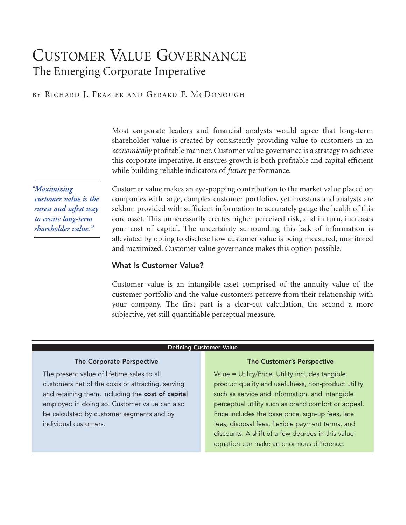# CUSTOMER VALUE GOVERNANCE The Emerging Corporate Imperative

### BY RICHARD I. FRAZIER AND GERARD F. MCDONOUGH

Most corporate leaders and financial analysts would agree that long-term shareholder value is created by consistently providing value to customers in an *economically* profitable manner. Customer value governance is a strategy to achieve this corporate imperative. It ensures growth is both profitable and capital efficient while building reliable indicators of *future* performance.

*"Maximizing customer value is the surest and safest way to create long-term shareholder value."* 

Customer value makes an eye-popping contribution to the market value placed on companies with large, complex customer portfolios, yet investors and analysts are seldom provided with sufficient information to accurately gauge the health of this core asset. This unnecessarily creates higher perceived risk, and in turn, increases your cost of capital. The uncertainty surrounding this lack of information is alleviated by opting to disclose how customer value is being measured, monitored and maximized. Customer value governance makes this option possible.

#### What Is Customer Value?

Customer value is an intangible asset comprised of the annuity value of the customer portfolio and the value customers perceive from their relationship with your company. The first part is a clear-cut calculation, the second a more subjective, yet still quantifiable perceptual measure.

#### Defining Customer Value

#### The Corporate Perspective

The present value of lifetime sales to all customers net of the costs of attracting, serving and retaining them, including the cost of capital employed in doing so. Customer value can also be calculated by customer segments and by individual customers.

#### The Customer's Perspective

Value = Utility/Price. Utility includes tangible product quality and usefulness, non-product utility such as service and information, and intangible perceptual utility such as brand comfort or appeal. Price includes the base price, sign-up fees, late fees, disposal fees, flexible payment terms, and discounts. A shift of a few degrees in this value equation can make an enormous difference.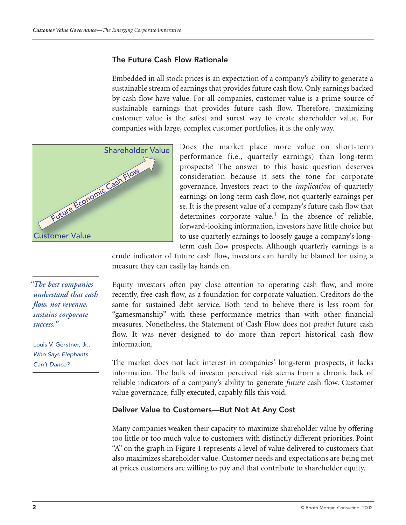### The Future Cash Flow Rationale

Embedded in all stock prices is an expectation of a company's ability to generate a sustainable stream of earnings that provides future cash flow. Only earnings backed by cash flow have value. For all companies, customer value is a prime source of sustainable earnings that provides future cash flow. Therefore, maximizing customer value is the safest and surest way to create shareholder value. For companies with large, complex customer portfolios, it is the only way.



Does the market place more value on short-term performance (i.e., quarterly earnings) than long-term prospects? The answer to this basic question deserves consideration because it sets the tone for corporate governance. Investors react to the *implication* of quarterly earnings on long-term cash flow, not quarterly earnings per se. It is the present value of a company's future cash flow that determines corporate value.<sup>1</sup> In the absence of reliable, forward-looking information, investors have little choice but to use quarterly earnings to loosely gauge a company's longterm cash flow prospects. Although quarterly earnings is a

crude indicator of future cash flow, investors can hardly be blamed for using a measure they can easily lay hands on.

Equity investors often pay close attention to operating cash flow, and more recently, free cash flow, as a foundation for corporate valuation. Creditors do the same for sustained debt service. Both tend to believe there is less room for "gamesmanship" with these performance metrics than with other financial measures. Nonetheless, the Statement of Cash Flow does not *predict* future cash flow. It was never designed to do more than report historical cash flow information.

The market does not lack interest in companies' long-term prospects, it lacks information. The bulk of investor perceived risk stems from a chronic lack of reliable indicators of a company's ability to generate *future* cash flow. Customer value governance, fully executed, capably fills this void.

#### Deliver Value to Customers—But Not At Any Cost

Many companies weaken their capacity to maximize shareholder value by offering too little or too much value to customers with distinctly different priorities. Point "A" on the graph in Figure 1 represents a level of value delivered to customers that also maximizes shareholder value. Customer needs and expectations are being met at prices customers are willing to pay and that contribute to shareholder equity.

*"The best companies understand that cash flow, not revenue, sustains corporate success."*

Louis V. Gerstner, Jr., *Who Says Elephants Can't Dance?*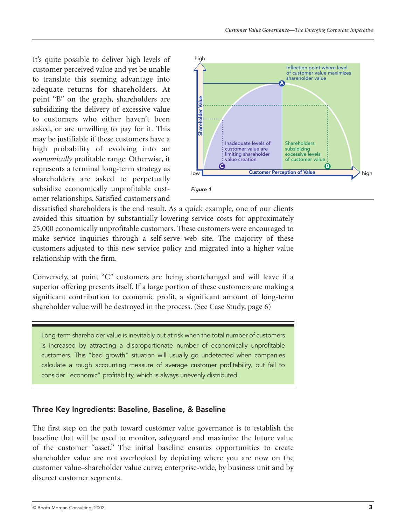It's quite possible to deliver high levels of customer perceived value and yet be unable to translate this seeming advantage into adequate returns for shareholders. At point "B" on the graph, shareholders are subsidizing the delivery of excessive value to customers who either haven't been asked, or are unwilling to pay for it. This may be justifiable if these customers have a high probability of evolving into an *economically* profitable range. Otherwise, it represents a terminal long-term strategy as shareholders are asked to perpetually subsidize economically unprofitable customer relationships. Satisfied customers and



dissatisfied shareholders is the end result. As a quick example, one of our clients avoided this situation by substantially lowering service costs for approximately 25,000 economically unprofitable customers. These customers were encouraged to make service inquiries through a self-serve web site. The majority of these customers adjusted to this new service policy and migrated into a higher value relationship with the firm.

Conversely, at point "C" customers are being shortchanged and will leave if a superior offering presents itself. If a large portion of these customers are making a significant contribution to economic profit, a significant amount of long-term shareholder value will be destroyed in the process. (See Case Study, page 6)

Long-term shareholder value is inevitably put at risk when the total number of customers is increased by attracting a disproportionate number of economically unprofitable customers. This "bad growth" situation will usually go undetected when companies calculate a rough accounting measure of average customer profitability, but fail to consider "economic" profitability, which is always unevenly distributed.

# Three Key Ingredients: Baseline, Baseline, & Baseline

The first step on the path toward customer value governance is to establish the baseline that will be used to monitor, safeguard and maximize the future value of the customer "asset." The initial baseline ensures opportunities to create shareholder value are not overlooked by depicting where you are now on the customer value–shareholder value curve; enterprise-wide, by business unit and by discreet customer segments.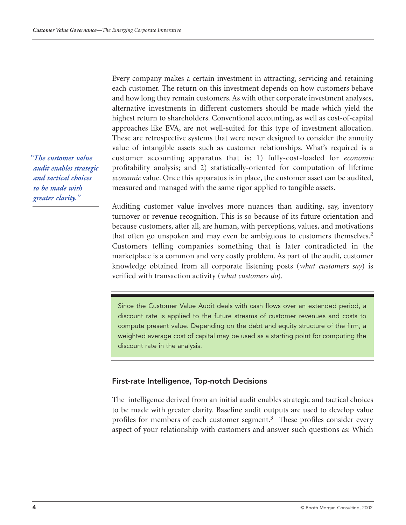*"The customer value audit enables strategic and tactical choices to be made with greater clarity."*

Every company makes a certain investment in attracting, servicing and retaining each customer. The return on this investment depends on how customers behave and how long they remain customers. As with other corporate investment analyses, alternative investments in different customers should be made which yield the highest return to shareholders. Conventional accounting, as well as cost-of-capital approaches like EVA, are not well-suited for this type of investment allocation. These are retrospective systems that were never designed to consider the annuity value of intangible assets such as customer relationships. What's required is a customer accounting apparatus that is: 1) fully-cost-loaded for *economic* profitability analysis; and 2) statistically-oriented for computation of lifetime *economic* value. Once this apparatus is in place, the customer asset can be audited, measured and managed with the same rigor applied to tangible assets.

Auditing customer value involves more nuances than auditing, say, inventory turnover or revenue recognition. This is so because of its future orientation and because customers, after all, are human, with perceptions, values, and motivations that often go unspoken and may even be ambiguous to customers themselves.<sup>2</sup> Customers telling companies something that is later contradicted in the marketplace is a common and very costly problem. As part of the audit, customer knowledge obtained from all corporate listening posts (*what customers say*) is verified with transaction activity (*what customers do*).

Since the Customer Value Audit deals with cash flows over an extended period, a discount rate is applied to the future streams of customer revenues and costs to compute present value. Depending on the debt and equity structure of the firm, a weighted average cost of capital may be used as a starting point for computing the discount rate in the analysis.

# First-rate Intelligence, Top-notch Decisions

The intelligence derived from an initial audit enables strategic and tactical choices to be made with greater clarity. Baseline audit outputs are used to develop value profiles for members of each customer segment.<sup>3</sup> These profiles consider every aspect of your relationship with customers and answer such questions as: Which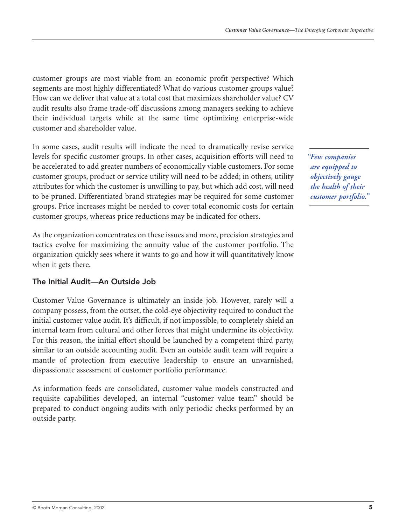customer groups are most viable from an economic profit perspective? Which segments are most highly differentiated? What do various customer groups value? How can we deliver that value at a total cost that maximizes shareholder value? CV audit results also frame trade-off discussions among managers seeking to achieve their individual targets while at the same time optimizing enterprise-wide customer and shareholder value.

In some cases, audit results will indicate the need to dramatically revise service levels for specific customer groups. In other cases, acquisition efforts will need to be accelerated to add greater numbers of economically viable customers. For some customer groups, product or service utility will need to be added; in others, utility attributes for which the customer is unwilling to pay, but which add cost, will need to be pruned. Differentiated brand strategies may be required for some customer groups. Price increases might be needed to cover total economic costs for certain customer groups, whereas price reductions may be indicated for others.

As the organization concentrates on these issues and more, precision strategies and tactics evolve for maximizing the annuity value of the customer portfolio. The organization quickly sees where it wants to go and how it will quantitatively know when it gets there.

# The Initial Audit—An Outside Job

Customer Value Governance is ultimately an inside job. However, rarely will a company possess, from the outset, the cold-eye objectivity required to conduct the initial customer value audit. It's difficult, if not impossible, to completely shield an internal team from cultural and other forces that might undermine its objectivity. For this reason, the initial effort should be launched by a competent third party, similar to an outside accounting audit. Even an outside audit team will require a mantle of protection from executive leadership to ensure an unvarnished, dispassionate assessment of customer portfolio performance.

As information feeds are consolidated, customer value models constructed and requisite capabilities developed, an internal "customer value team" should be prepared to conduct ongoing audits with only periodic checks performed by an outside party.

*"Few companies are equipped to objectively gauge the health of their customer portfolio."*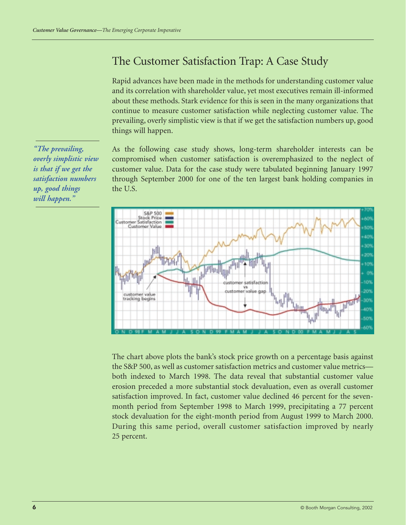# The Customer Satisfaction Trap: A Case Study

Rapid advances have been made in the methods for understanding customer value and its correlation with shareholder value, yet most executives remain ill-informed about these methods. Stark evidence for this is seen in the many organizations that continue to measure customer satisfaction while neglecting customer value. The prevailing, overly simplistic view is that if we get the satisfaction numbers up, good things will happen.

As the following case study shows, long-term shareholder interests can be compromised when customer satisfaction is overemphasized to the neglect of customer value. Data for the case study were tabulated beginning January 1997 through September 2000 for one of the ten largest bank holding companies in the U.S.



The chart above plots the bank's stock price growth on a percentage basis against the S&P 500, as well as customer satisfaction metrics and customer value metrics both indexed to March 1998. The data reveal that substantial customer value erosion preceded a more substantial stock devaluation, even as overall customer satisfaction improved. In fact, customer value declined 46 percent for the sevenmonth period from September 1998 to March 1999, precipitating a 77 percent stock devaluation for the eight-month period from August 1999 to March 2000. During this same period, overall customer satisfaction improved by nearly 25 percent.

*"The prevailing, overly simplistic view is that if we get the satisfaction numbers up, good things will happen."*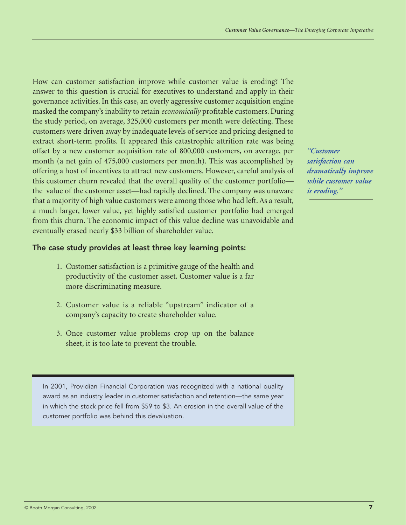How can customer satisfaction improve while customer value is eroding? The answer to this question is crucial for executives to understand and apply in their governance activities. In this case, an overly aggressive customer acquisition engine masked the company's inability to retain *economically* profitable customers. During the study period, on average, 325,000 customers per month were defecting. These customers were driven away by inadequate levels of service and pricing designed to extract short-term profits. It appeared this catastrophic attrition rate was being offset by a new customer acquisition rate of 800,000 customers, on average, per month (a net gain of 475,000 customers per month). This was accomplished by offering a host of incentives to attract new customers. However, careful analysis of this customer churn revealed that the overall quality of the customer portfolio the value of the customer asset—had rapidly declined. The company was unaware that a majority of high value customers were among those who had left. As a result, a much larger, lower value, yet highly satisfied customer portfolio had emerged from this churn. The economic impact of this value decline was unavoidable and eventually erased nearly \$33 billion of shareholder value.

# The case study provides at least three key learning points:

- 1. Customer satisfaction is a primitive gauge of the health and productivity of the customer asset. Customer value is a far more discriminating measure.
- 2. Customer value is a reliable "upstream" indicator of a company's capacity to create shareholder value.
- 3. Once customer value problems crop up on the balance sheet, it is too late to prevent the trouble.

In 2001, Providian Financial Corporation was recognized with a national quality award as an industry leader in customer satisfaction and retention—the same year in which the stock price fell from \$59 to \$3. An erosion in the overall value of the customer portfolio was behind this devaluation.

*"Customer satisfaction can dramatically improve while customer value is eroding."*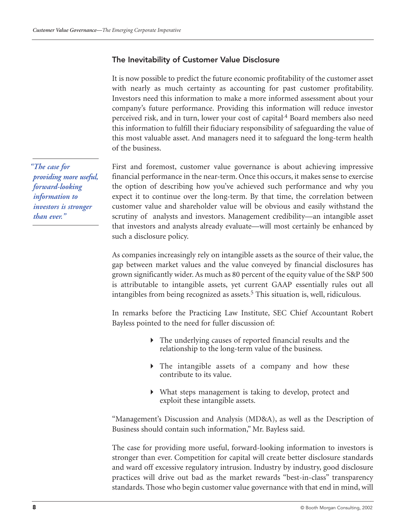#### The Inevitability of Customer Value Disclosure

It is now possible to predict the future economic profitability of the customer asset with nearly as much certainty as accounting for past customer profitability. Investors need this information to make a more informed assessment about your company's future performance. Providing this information will reduce investor perceived risk, and in turn, lower your cost of capital.<sup>4</sup> Board members also need this information to fulfill their fiduciary responsibility of safeguarding the value of this most valuable asset. And managers need it to safeguard the long-term health of the business.

First and foremost, customer value governance is about achieving impressive financial performance in the near-term. Once this occurs, it makes sense to exercise the option of describing how you've achieved such performance and why you expect it to continue over the long-term. By that time, the correlation between customer value and shareholder value will be obvious and easily withstand the scrutiny of analysts and investors. Management credibility—an intangible asset that investors and analysts already evaluate—will most certainly be enhanced by such a disclosure policy.

As companies increasingly rely on intangible assets as the source of their value, the gap between market values and the value conveyed by financial disclosures has grown significantly wider. As much as 80 percent of the equity value of the S&P 500 is attributable to intangible assets, yet current GAAP essentially rules out all intangibles from being recognized as assets.<sup>5</sup> This situation is, well, ridiculous.

In remarks before the Practicing Law Institute, SEC Chief Accountant Robert Bayless pointed to the need for fuller discussion of:

- The underlying causes of reported financial results and the relationship to the long-term value of the business.
- The intangible assets of a company and how these contribute to its value.
- What steps management is taking to develop, protect and exploit these intangible assets.

"Management's Discussion and Analysis (MD&A), as well as the Description of Business should contain such information," Mr. Bayless said.

The case for providing more useful, forward-looking information to investors is stronger than ever. Competition for capital will create better disclosure standards and ward off excessive regulatory intrusion. Industry by industry, good disclosure practices will drive out bad as the market rewards "best-in-class" transparency standards. Those who begin customer value governance with that end in mind, will

*"The case for providing more useful, forward-looking information to investors is stronger than ever."*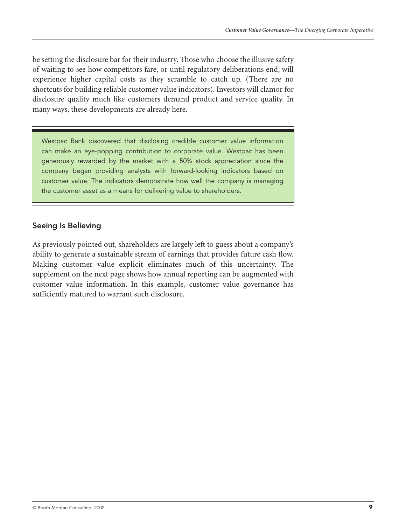be setting the disclosure bar for their industry. Those who choose the illusive safety of waiting to see how competitors fare, or until regulatory deliberations end, will experience higher capital costs as they scramble to catch up. (There are no shortcuts for building reliable customer value indicators). Investors will clamor for disclosure quality much like customers demand product and service quality. In many ways, these developments are already here.

Westpac Bank discovered that disclosing credible customer value information can make an eye-popping contribution to corporate value. Westpac has been generously rewarded by the market with a 50% stock appreciation since the company began providing analysts with forward-looking indicators based on customer value. The indicators demonstrate how well the company is managing the customer asset as a means for delivering value to shareholders.

# Seeing Is Believing

As previously pointed out, shareholders are largely left to guess about a company's ability to generate a sustainable stream of earnings that provides future cash flow. Making customer value explicit eliminates much of this uncertainty. The supplement on the next page shows how annual reporting can be augmented with customer value information. In this example, customer value governance has sufficiently matured to warrant such disclosure.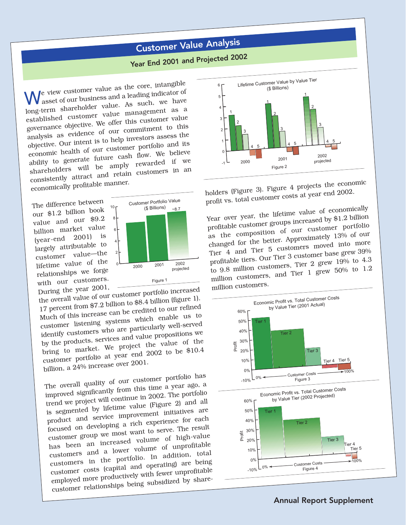# Customer Value Analysis

# Year End 2001 and Projected 2002

 $\bigvee$ e view customer value as the core, intangible asset of our business and a leading indicator of long-term shareholder value. As such, we have established customer value management as a governance objective. We offer this customer value analysis as evidence of our commitment to this objective. Our intent is to help investors assess the economic health of our customer portfolio and its ability to generate future cash flow. We believe shareholders will be amply rewarded if we consistently attract and retain customers in an economically profitable manner.

The difference between our \$1.2 billion book value and our \$9.2 billion market value<br>(year-end 2001) is  $(year-end \quad 2001)$  is largely attributable to customer value—the lifetime value of the relationships we forge with our customers.



During the year 2001, the overall value of our customer portfolio increase<sup>d</sup> 17 percent from \$7.2 billion to \$8.4 billion (figure 1). Much of this increase can be credited to our refined customer listening systems which enable us to identify customers who are particularly well-serve<sup>d</sup> by the products, services and value propositions we bring to market. We project the value of the customer portfolio at year end 2002 to be \$10.4 billion, a 24% increase over 2001.

The overall quality of our customer portfolio has improved significantly from this time a year ago, a trend we project will continue in 2002. The portfolio is segmented by lifetime value (Figure 2) and all product and service improvement initiatives are focused on developing a rich experience for each customer group we most want to serve. The result has been an increased volume of high-value customers and a lower volume of unprofitable customers in the portfolio. In addition, total customer costs (capital and operating) are being employed more productively with fewer unprofitable customer relationships being subsidized by share-



holders (Figure 3). Figure 4 projects the economic profit vs. total customer costs at year end 2002.

Year over year, the lifetime value of economically profitable customer groups increased by \$1.2 billion as the composition of our customer portfolio changed for the better. Approximately 13% of our Tier 4 and Tier 5 customers moved into more profitable tiers. Our Tier 3 customer base grew 39% to 9.8 million customers, Tier 2 grew 19% to 4.3 million customers, and Tier 1 grew 50% to 1.2 million customers.

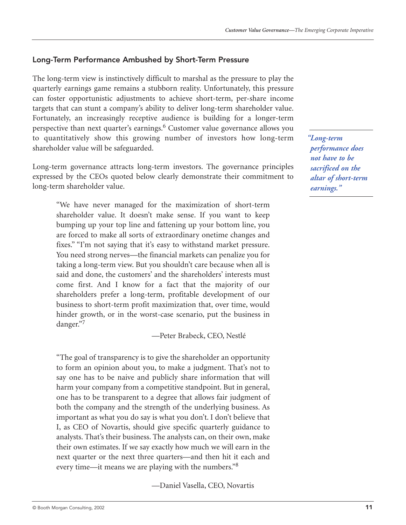# Long-Term Performance Ambushed by Short-Term Pressure

The long-term view is instinctively difficult to marshal as the pressure to play the quarterly earnings game remains a stubborn reality. Unfortunately, this pressure can foster opportunistic adjustments to achieve short-term, per-share income targets that can stunt a company's ability to deliver long-term shareholder value. Fortunately, an increasingly receptive audience is building for a longer-term perspective than next quarter's earnings.<sup>6</sup> Customer value governance allows you to quantitatively show this growing number of investors how long-term shareholder value will be safeguarded.

Long-term governance attracts long-term investors. The governance principles expressed by the CEOs quoted below clearly demonstrate their commitment to long-term shareholder value.

"We have never managed for the maximization of short-term shareholder value. It doesn't make sense. If you want to keep bumping up your top line and fattening up your bottom line, you are forced to make all sorts of extraordinary onetime changes and fixes." "I'm not saying that it's easy to withstand market pressure. You need strong nerves—the financial markets can penalize you for taking a long-term view. But you shouldn't care because when all is said and done, the customers' and the shareholders' interests must come first. And I know for a fact that the majority of our shareholders prefer a long-term, profitable development of our business to short-term profit maximization that, over time, would hinder growth, or in the worst-case scenario, put the business in danger."7

—Peter Brabeck, CEO, Nestlé

"The goal of transparency is to give the shareholder an opportunity to form an opinion about you, to make a judgment. That's not to say one has to be naive and publicly share information that will harm your company from a competitive standpoint. But in general, one has to be transparent to a degree that allows fair judgment of both the company and the strength of the underlying business. As important as what you do say is what you don't. I don't believe that I, as CEO of Novartis, should give specific quarterly guidance to analysts. That's their business. The analysts can, on their own, make their own estimates. If we say exactly how much we will earn in the next quarter or the next three quarters—and then hit it each and every time—it means we are playing with the numbers."8

—Daniel Vasella, CEO, Novartis

*"Long-term performance does not have to be sacrificed on the altar of short-term earnings."*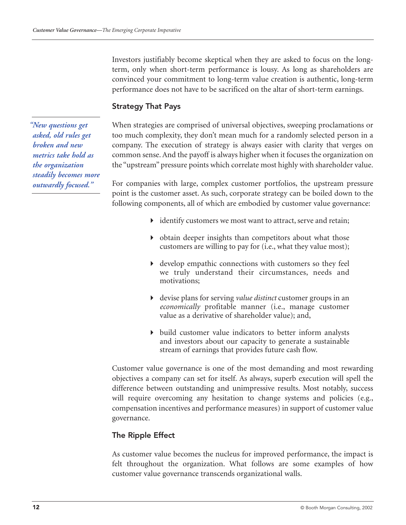Investors justifiably become skeptical when they are asked to focus on the longterm, only when short-term performance is lousy. As long as shareholders are convinced your commitment to long-term value creation is authentic, long-term performance does not have to be sacrificed on the altar of short-term earnings.

# Strategy That Pays

When strategies are comprised of universal objectives, sweeping proclamations or too much complexity, they don't mean much for a randomly selected person in a company. The execution of strategy is always easier with clarity that verges on common sense. And the payoff is always higher when it focuses the organization on the "upstream" pressure points which correlate most highly with shareholder value.

For companies with large, complex customer portfolios, the upstream pressure point is the customer asset. As such, corporate strategy can be boiled down to the following components, all of which are embodied by customer value governance:

- identify customers we most want to attract, serve and retain;
- obtain deeper insights than competitors about what those customers are willing to pay for (i.e., what they value most);
- develop empathic connections with customers so they feel we truly understand their circumstances, needs and motivations;
- devise plans for serving *value distinct* customer groups in an *economically* profitable manner (i.e., manage customer value as a derivative of shareholder value); and,
- build customer value indicators to better inform analysts and investors about our capacity to generate a sustainable stream of earnings that provides future cash flow.

Customer value governance is one of the most demanding and most rewarding objectives a company can set for itself. As always, superb execution will spell the difference between outstanding and unimpressive results. Most notably, success will require overcoming any hesitation to change systems and policies (e.g., compensation incentives and performance measures) in support of customer value governance.

# The Ripple Effect

As customer value becomes the nucleus for improved performance, the impact is felt throughout the organization. What follows are some examples of how customer value governance transcends organizational walls.

*"New questions get asked, old rules get broken and new metrics take hold as the organization steadily becomes more outwardly focused."*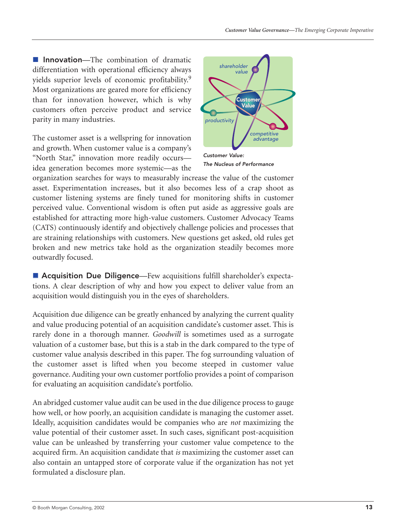**Innovation**—The combination of dramatic differentiation with operational efficiency always yields superior levels of economic profitability.<sup>9</sup> Most organizations are geared more for efficiency than for innovation however, which is why customers often perceive product and service parity in many industries.

The customer asset is a wellspring for innovation and growth. When customer value is a company's "North Star," innovation more readily occurs idea generation becomes more systemic—as the



*The Nucleus of Performance*

organization searches for ways to measurably increase the value of the customer asset. Experimentation increases, but it also becomes less of a crap shoot as customer listening systems are finely tuned for monitoring shifts in customer perceived value. Conventional wisdom is often put aside as aggressive goals are established for attracting more high-value customers. Customer Advocacy Teams (CATS) continuously identify and objectively challenge policies and processes that are straining relationships with customers. New questions get asked, old rules get broken and new metrics take hold as the organization steadily becomes more outwardly focused.

**E Acquisition Due Diligence**—Few acquisitions fulfill shareholder's expectations. A clear description of why and how you expect to deliver value from an acquisition would distinguish you in the eyes of shareholders.

Acquisition due diligence can be greatly enhanced by analyzing the current quality and value producing potential of an acquisition candidate's customer asset. This is rarely done in a thorough manner. *Goodwill* is sometimes used as a surrogate valuation of a customer base, but this is a stab in the dark compared to the type of customer value analysis described in this paper. The fog surrounding valuation of the customer asset is lifted when you become steeped in customer value governance. Auditing your own customer portfolio provides a point of comparison for evaluating an acquisition candidate's portfolio.

An abridged customer value audit can be used in the due diligence process to gauge how well, or how poorly, an acquisition candidate is managing the customer asset. Ideally, acquisition candidates would be companies who are *not* maximizing the value potential of their customer asset. In such cases, significant post-acquisition value can be unleashed by transferring your customer value competence to the acquired firm. An acquisition candidate that *is* maximizing the customer asset can also contain an untapped store of corporate value if the organization has not yet formulated a disclosure plan.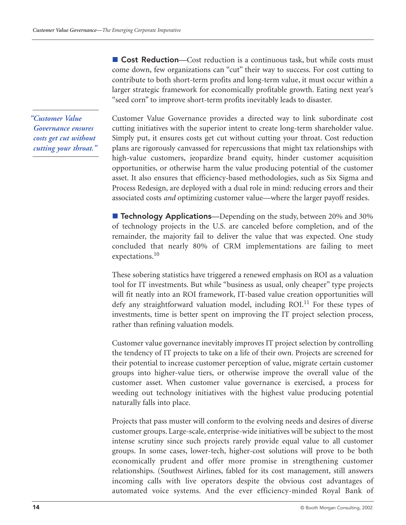**Cost Reduction**—Cost reduction is a continuous task, but while costs must come down, few organizations can "cut" their way to success. For cost cutting to contribute to both short-term profits and long-term value, it must occur within a larger strategic framework for economically profitable growth. Eating next year's "seed corn" to improve short-term profits inevitably leads to disaster.

*"Customer Value Governance ensures costs get cut without cutting your throat."* Customer Value Governance provides a directed way to link subordinate cost cutting initiatives with the superior intent to create long-term shareholder value. Simply put, it ensures costs get cut without cutting your throat. Cost reduction plans are rigorously canvassed for repercussions that might tax relationships with high-value customers, jeopardize brand equity, hinder customer acquisition opportunities, or otherwise harm the value producing potential of the customer asset. It also ensures that efficiency-based methodologies, such as Six Sigma and Process Redesign, are deployed with a dual role in mind: reducing errors and their associated costs *and* optimizing customer value—where the larger payoff resides.

**Technology Applications**—Depending on the study, between 20% and 30% of technology projects in the U.S. are canceled before completion, and of the remainder, the majority fail to deliver the value that was expected. One study concluded that nearly 80% of CRM implementations are failing to meet expectations. $10$ 

These sobering statistics have triggered a renewed emphasis on ROI as a valuation tool for IT investments. But while "business as usual, only cheaper" type projects will fit neatly into an ROI framework, IT-based value creation opportunities will defy any straightforward valuation model, including ROI.<sup>11</sup> For these types of investments, time is better spent on improving the IT project selection process, rather than refining valuation models.

Customer value governance inevitably improves IT project selection by controlling the tendency of IT projects to take on a life of their own. Projects are screened for their potential to increase customer perception of value, migrate certain customer groups into higher-value tiers, or otherwise improve the overall value of the customer asset. When customer value governance is exercised, a process for weeding out technology initiatives with the highest value producing potential naturally falls into place.

Projects that pass muster will conform to the evolving needs and desires of diverse customer groups. Large-scale, enterprise-wide initiatives will be subject to the most intense scrutiny since such projects rarely provide equal value to all customer groups. In some cases, lower-tech, higher-cost solutions will prove to be both economically prudent and offer more promise in strengthening customer relationships. (Southwest Airlines, fabled for its cost management, still answers incoming calls with live operators despite the obvious cost advantages of automated voice systems. And the ever efficiency-minded Royal Bank of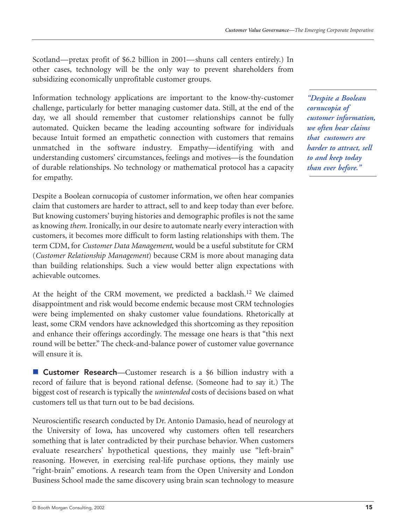Scotland—pretax profit of \$6.2 billion in 2001—shuns call centers entirely.) In other cases, technology will be the only way to prevent shareholders from subsidizing economically unprofitable customer groups.

Information technology applications are important to the know-thy-customer challenge, particularly for better managing customer data. Still, at the end of the day, we all should remember that customer relationships cannot be fully automated. Quicken became the leading accounting software for individuals because Intuit formed an empathetic connection with customers that remains unmatched in the software industry. Empathy—identifying with and understanding customers' circumstances, feelings and motives—is the foundation of durable relationships. No technology or mathematical protocol has a capacity for empathy.

Despite a Boolean cornucopia of customer information, we often hear companies claim that customers are harder to attract, sell to and keep today than ever before. But knowing customers' buying histories and demographic profiles is not the same as knowing *them.* Ironically, in our desire to automate nearly every interaction with customers, it becomes more difficult to form lasting relationships with them. The term CDM, for *Customer Data Management*, would be a useful substitute for CRM (*Customer Relationship Management*) because CRM is more about managing data than building relationships. Such a view would better align expectations with achievable outcomes.

At the height of the CRM movement, we predicted a backlash.<sup>12</sup> We claimed disappointment and risk would become endemic because most CRM technologies were being implemented on shaky customer value foundations. Rhetorically at least, some CRM vendors have acknowledged this shortcoming as they reposition and enhance their offerings accordingly. The message one hears is that "this next round will be better." The check-and-balance power of customer value governance will ensure it is.

**E** Customer Research—Customer research is a \$6 billion industry with a record of failure that is beyond rational defense. (Someone had to say it.) The biggest cost of research is typically the *unintended* costs of decisions based on what customers tell us that turn out to be bad decisions.

Neuroscientific research conducted by Dr. Antonio Damasio, head of neurology at the University of Iowa, has uncovered why customers often tell researchers something that is later contradicted by their purchase behavior. When customers evaluate researchers' hypothetical questions, they mainly use "left-brain" reasoning. However, in exercising real-life purchase options, they mainly use "right-brain" emotions. A research team from the Open University and London Business School made the same discovery using brain scan technology to measure

*"Despite a Boolean cornucopia of customer information, we often hear claims that customers are harder to attract, sell to and keep today than ever before."*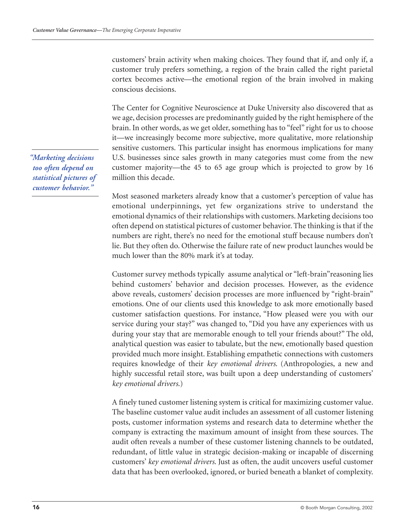customers' brain activity when making choices. They found that if, and only if, a customer truly prefers something, a region of the brain called the right parietal cortex becomes active—the emotional region of the brain involved in making conscious decisions.

The Center for Cognitive Neuroscience at Duke University also discovered that as we age, decision processes are predominantly guided by the right hemisphere of the brain. In other words, as we get older, something has to "feel" right for us to choose it—we increasingly become more subjective, more qualitative, more relationship sensitive customers. This particular insight has enormous implications for many U.S. businesses since sales growth in many categories must come from the new customer majority—the 45 to 65 age group which is projected to grow by 16 million this decade.

Most seasoned marketers already know that a customer's perception of value has emotional underpinnings, yet few organizations strive to understand the emotional dynamics of their relationships with customers. Marketing decisions too often depend on statistical pictures of customer behavior. The thinking is that if the numbers are right, there's no need for the emotional stuff because numbers don't lie. But they often do. Otherwise the failure rate of new product launches would be much lower than the 80% mark it's at today.

Customer survey methods typically assume analytical or "left-brain"reasoning lies behind customers' behavior and decision processes. However, as the evidence above reveals, customers' decision processes are more influenced by "right-brain" emotions. One of our clients used this knowledge to ask more emotionally based customer satisfaction questions. For instance, "How pleased were you with our service during your stay?" was changed to, "Did you have any experiences with us during your stay that are memorable enough to tell your friends about?" The old, analytical question was easier to tabulate, but the new, emotionally based question provided much more insight. Establishing empathetic connections with customers requires knowledge of their *key emotional drivers*. (Anthropologies, a new and highly successful retail store, was built upon a deep understanding of customers' *key emotional drivers*.)

A finely tuned customer listening system is critical for maximizing customer value. The baseline customer value audit includes an assessment of all customer listening posts, customer information systems and research data to determine whether the company is extracting the maximum amount of insight from these sources. The audit often reveals a number of these customer listening channels to be outdated, redundant, of little value in strategic decision-making or incapable of discerning customers' *key emotional drivers*. Just as often, the audit uncovers useful customer data that has been overlooked, ignored, or buried beneath a blanket of complexity.

*"Marketing decisions too often depend on statistical pictures of customer behavior."*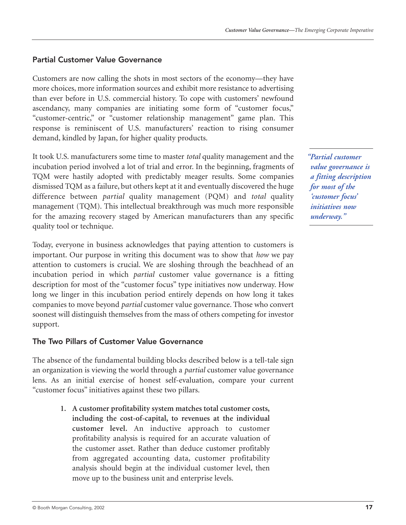# Partial Customer Value Governance

Customers are now calling the shots in most sectors of the economy—they have more choices, more information sources and exhibit more resistance to advertising than ever before in U.S. commercial history. To cope with customers' newfound ascendancy, many companies are initiating some form of "customer focus," "customer-centric," or "customer relationship management" game plan. This response is reminiscent of U.S. manufacturers' reaction to rising consumer demand, kindled by Japan, for higher quality products.

It took U.S. manufacturers some time to master *total* quality management and the incubation period involved a lot of trial and error. In the beginning, fragments of TQM were hastily adopted with predictably meager results. Some companies dismissed TQM as a failure, but others kept at it and eventually discovered the huge difference between *partial* quality management (PQM) and *total* quality management (TQM). This intellectual breakthrough was much more responsible for the amazing recovery staged by American manufacturers than any specific quality tool or technique.

Today, everyone in business acknowledges that paying attention to customers is important. Our purpose in writing this document was to show that *how* we pay attention to customers is crucial. We are sloshing through the beachhead of an incubation period in which *partial* customer value governance is a fitting description for most of the "customer focus" type initiatives now underway. How long we linger in this incubation period entirely depends on how long it takes companies to move beyond *partial* customer value governance. Those who convert soonest will distinguish themselves from the mass of others competing for investor support.

# The Two Pillars of Customer Value Governance

The absence of the fundamental building blocks described below is a tell-tale sign an organization is viewing the world through a *partial* customer value governance lens. As an initial exercise of honest self-evaluation, compare your current "customer focus" initiatives against these two pillars.

> **1. A customer profitability system matches total customer costs, including the cost-of-capital, to revenues at the individual customer level.** An inductive approach to customer profitability analysis is required for an accurate valuation of the customer asset. Rather than deduce customer profitably from aggregated accounting data, customer profitability analysis should begin at the individual customer level, then move up to the business unit and enterprise levels.

*"Partial customer value governance is a fitting description for most of the 'customer focus' initiatives now underway."*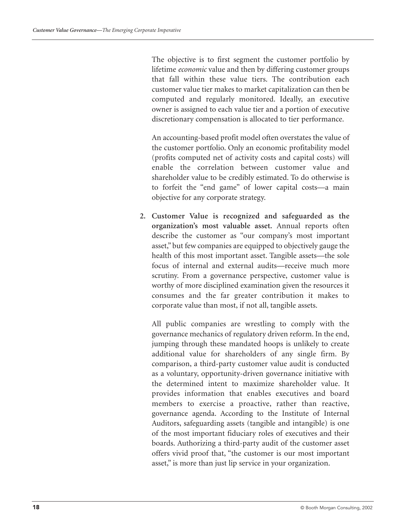The objective is to first segment the customer portfolio by lifetime *economic* value and then by differing customer groups that fall within these value tiers. The contribution each customer value tier makes to market capitalization can then be computed and regularly monitored. Ideally, an executive owner is assigned to each value tier and a portion of executive discretionary compensation is allocated to tier performance.

An accounting-based profit model often overstates the value of the customer portfolio. Only an economic profitability model (profits computed net of activity costs and capital costs) will enable the correlation between customer value and shareholder value to be credibly estimated. To do otherwise is to forfeit the "end game" of lower capital costs—a main objective for any corporate strategy.

**2. Customer Value is recognized and safeguarded as the organization's most valuable asset.** Annual reports often describe the customer as "our company's most important asset," but few companies are equipped to objectively gauge the health of this most important asset. Tangible assets—the sole focus of internal and external audits—receive much more scrutiny. From a governance perspective, customer value is worthy of more disciplined examination given the resources it consumes and the far greater contribution it makes to corporate value than most, if not all, tangible assets.

All public companies are wrestling to comply with the governance mechanics of regulatory driven reform. In the end, jumping through these mandated hoops is unlikely to create additional value for shareholders of any single firm. By comparison, a third-party customer value audit is conducted as a voluntary, opportunity-driven governance initiative with the determined intent to maximize shareholder value. It provides information that enables executives and board members to exercise a proactive, rather than reactive, governance agenda. According to the Institute of Internal Auditors, safeguarding assets (tangible and intangible) is one of the most important fiduciary roles of executives and their boards. Authorizing a third-party audit of the customer asset offers vivid proof that, "the customer is our most important asset," is more than just lip service in your organization.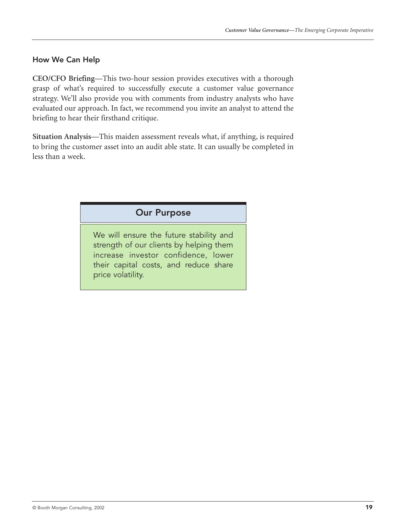# How We Can Help

**CEO/CFO Briefing**—This two-hour session provides executives with a thorough grasp of what's required to successfully execute a customer value governance strategy. We'll also provide you with comments from industry analysts who have evaluated our approach. In fact, we recommend you invite an analyst to attend the briefing to hear their firsthand critique.

**Situation Analysis**—This maiden assessment reveals what, if anything, is required to bring the customer asset into an audit able state. It can usually be completed in less than a week.

# Our Purpose

We will ensure the future stability and strength of our clients by helping them increase investor confidence, lower their capital costs, and reduce share price volatility.